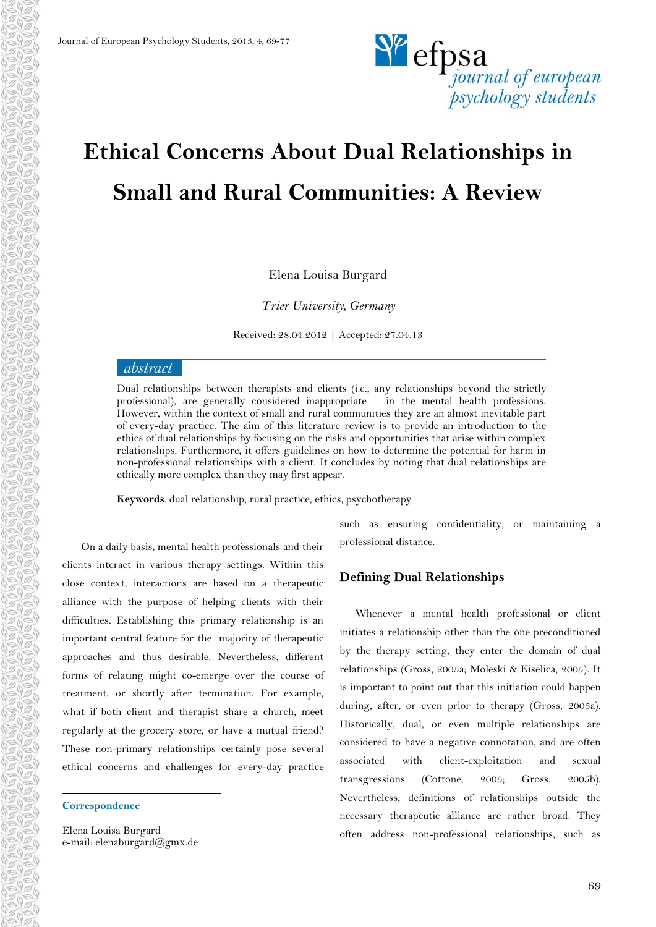

# **Ethical Concerns About Dual Relationships in Small and Rural Communities: A Review**

Elena Louisa Burgard

*Trier University, Germany*

Received: 28.04.2012 **|** Accepted: 27.04.13

### abstract

Dual relationships between therapists and clients (i.e., any relationships beyond the strictly professional), are generally considered inappropriate in the mental health professions. However, within the context of small and rural communities they are an almost inevitable part of every-day practice. The aim of this literature review is to provide an introduction to the ethics of dual relationships by focusing on the risks and opportunities that arise within complex relationships. Furthermore, it offers guidelines on how to determine the potential for harm in non-professional relationships with a client. It concludes by noting that dual relationships are ethically more complex than they may first appear.

**Keywords***:* dual relationship, rural practice, ethics, psychotherapy

<sup>1</sup>On a daily basis, mental health professionals and their clients interact in various therapy settings. Within this close context, interactions are based on a therapeutic alliance with the purpose of helping clients with their difficulties. Establishing this primary relationship is an important central feature for the majority of therapeutic approaches and thus desirable. Nevertheless, different forms of relating might co-emerge over the course of treatment, or shortly after termination. For example, what if both client and therapist share a church, meet regularly at the grocery store, or have a mutual friend? These non-primary relationships certainly pose several ethical concerns and challenges for every-day practice

#### **Correspondence**

1

Elena Louisa Burgard e-mail: elenaburgard@gmx.de such as ensuring confidentiality, or maintaining a professional distance.

#### **Defining Dual Relationships**

Whenever a mental health professional or client initiates a relationship other than the one preconditioned by the therapy setting, they enter the domain of dual relationships (Gross, 2005a; Moleski & Kiselica, 2005). It is important to point out that this initiation could happen during, after, or even prior to therapy (Gross, 2005a). Historically, dual, or even multiple relationships are considered to have a negative connotation, and are often associated with client-exploitation and sexual transgressions (Cottone, 2005; Gross, 2005b). Nevertheless, definitions of relationships outside the necessary therapeutic alliance are rather broad. They often address non-professional relationships, such as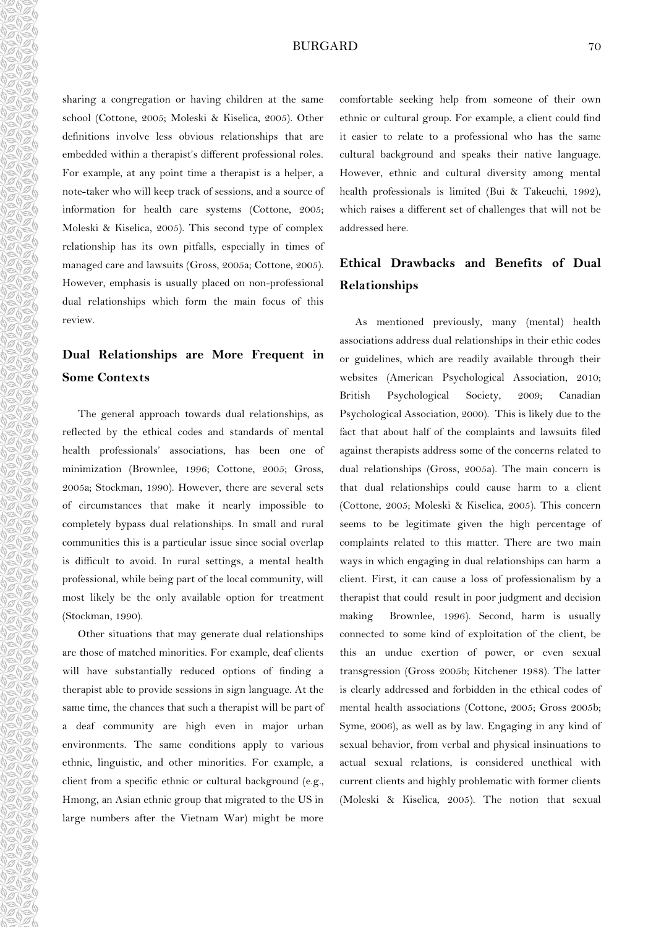#### BURGARD 70

sharing a congregation or having children at the same school (Cottone, 2005; Moleski & Kiselica, 2005). Other definitions involve less obvious relationships that are embedded within a therapist's different professional roles. For example, at any point time a therapist is a helper, a note-taker who will keep track of sessions, and a source of information for health care systems (Cottone, 2005; Moleski & Kiselica, 2005). This second type of complex relationship has its own pitfalls, especially in times of managed care and lawsuits (Gross, 2005a; Cottone, 2005). However, emphasis is usually placed on non-professional dual relationships which form the main focus of this review.

 $\theta$  and  $\theta$  and  $\theta$  and  $\theta$  and  $\theta$  and  $\theta$  and  $\theta$ 

 $\mathcal{A} \otimes \mathcal{A} \otimes \mathcal{A} \otimes \mathcal{A} \otimes \mathcal{A} \otimes \mathcal{A} \otimes \mathcal{A} \otimes \mathcal{A} \otimes \mathcal{A} \otimes \mathcal{A} \otimes \mathcal{A} \otimes \mathcal{A}$ 

dada a daga

AaAaAaAaAa

G)

# **Dual Relationships are More Frequent in Some Contexts**

The general approach towards dual relationships, as reflected by the ethical codes and standards of mental health professionals' associations, has been one of minimization (Brownlee, 1996; Cottone, 2005; Gross, 2005a; Stockman, 1990). However, there are several sets of circumstances that make it nearly impossible to completely bypass dual relationships. In small and rural communities this is a particular issue since social overlap is difficult to avoid. In rural settings, a mental health professional, while being part of the local community, will most likely be the only available option for treatment (Stockman, 1990).

Other situations that may generate dual relationships are those of matched minorities. For example, deaf clients will have substantially reduced options of finding a therapist able to provide sessions in sign language. At the same time, the chances that such a therapist will be part of a deaf community are high even in major urban environments. The same conditions apply to various ethnic, linguistic, and other minorities. For example, a client from a specific ethnic or cultural background (e.g., Hmong, an Asian ethnic group that migrated to the US in large numbers after the Vietnam War) might be more

comfortable seeking help from someone of their own ethnic or cultural group. For example, a client could find it easier to relate to a professional who has the same cultural background and speaks their native language. However, ethnic and cultural diversity among mental health professionals is limited (Bui & Takeuchi, 1992), which raises a different set of challenges that will not be addressed here.

## **Ethical Drawbacks and Benefits of Dual Relationships**

As mentioned previously, many (mental) health associations address dual relationships in their ethic codes or guidelines, which are readily available through their websites (American Psychological Association, 2010; British Psychological Society, 2009; Canadian Psychological Association, 2000). This is likely due to the fact that about half of the complaints and lawsuits filed against therapists address some of the concerns related to dual relationships (Gross, 2005a). The main concern is that dual relationships could cause harm to a client (Cottone, 2005; Moleski & Kiselica, 2005). This concern seems to be legitimate given the high percentage of complaints related to this matter. There are two main ways in which engaging in dual relationships can harm a client. First, it can cause a loss of professionalism by a therapist that could result in poor judgment and decision making Brownlee, 1996). Second, harm is usually connected to some kind of exploitation of the client, be this an undue exertion of power, or even sexual transgression (Gross 2005b; Kitchener 1988). The latter is clearly addressed and forbidden in the ethical codes of mental health associations (Cottone, 2005; Gross 2005b; Syme, 2006), as well as by law. Engaging in any kind of sexual behavior, from verbal and physical insinuations to actual sexual relations, is considered unethical with current clients and highly problematic with former clients (Moleski & Kiselica, 2005). The notion that sexual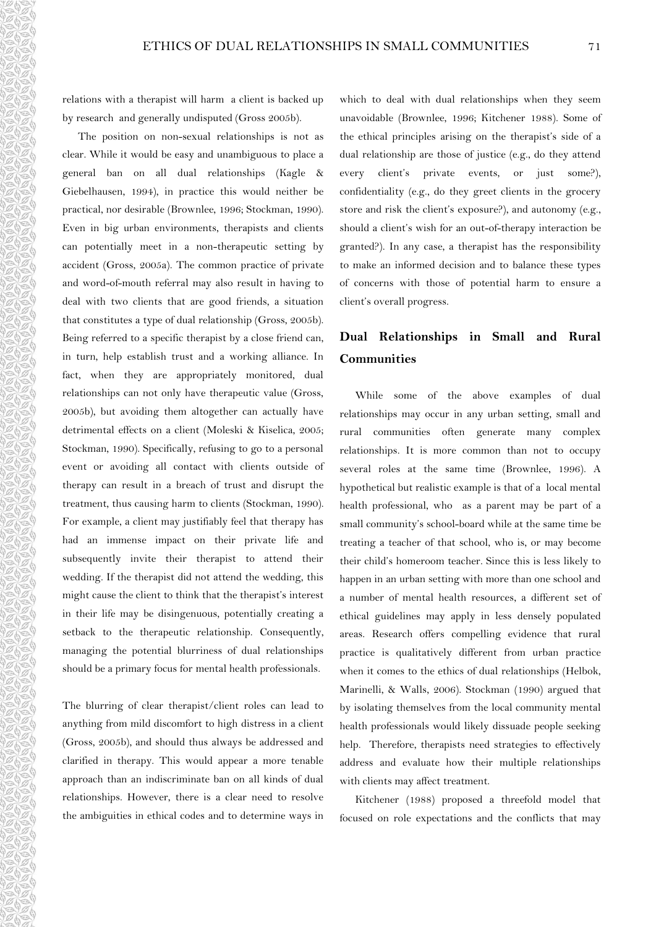relations with a therapist will harm a client is backed up by research and generally undisputed (Gross 2005b).

The position on non-sexual relationships is not as clear. While it would be easy and unambiguous to place a general ban on all dual relationships (Kagle & Giebelhausen, 1994), in practice this would neither be practical, nor desirable (Brownlee, 1996; Stockman, 1990). Even in big urban environments, therapists and clients can potentially meet in a non-therapeutic setting by accident (Gross, 2005a). The common practice of private and word-of-mouth referral may also result in having to deal with two clients that are good friends, a situation that constitutes a type of dual relationship (Gross, 2005b). Being referred to a specific therapist by a close friend can, in turn, help establish trust and a working alliance. In fact, when they are appropriately monitored, dual relationships can not only have therapeutic value (Gross, 2005b), but avoiding them altogether can actually have detrimental effects on a client (Moleski & Kiselica, 2005; Stockman, 1990). Specifically, refusing to go to a personal event or avoiding all contact with clients outside of therapy can result in a breach of trust and disrupt the treatment, thus causing harm to clients (Stockman, 1990). For example, a client may justifiably feel that therapy has had an immense impact on their private life and subsequently invite their therapist to attend their wedding. If the therapist did not attend the wedding, this might cause the client to think that the therapist's interest in their life may be disingenuous, potentially creating a setback to the therapeutic relationship. Consequently, managing the potential blurriness of dual relationships should be a primary focus for mental health professionals.

The blurring of clear therapist/client roles can lead to anything from mild discomfort to high distress in a client (Gross, 2005b), and should thus always be addressed and clarified in therapy. This would appear a more tenable approach than an indiscriminate ban on all kinds of dual relationships. However, there is a clear need to resolve the ambiguities in ethical codes and to determine ways in which to deal with dual relationships when they seem unavoidable (Brownlee, 1996; Kitchener 1988). Some of the ethical principles arising on the therapist's side of a dual relationship are those of justice (e.g., do they attend every client's private events, or just some?), confidentiality (e.g., do they greet clients in the grocery store and risk the client's exposure?), and autonomy (e.g., should a client's wish for an out-of-therapy interaction be granted?). In any case, a therapist has the responsibility to make an informed decision and to balance these types of concerns with those of potential harm to ensure a client's overall progress.

## **Dual Relationships in Small and Rural Communities**

While some of the above examples of dual relationships may occur in any urban setting, small and rural communities often generate many complex relationships. It is more common than not to occupy several roles at the same time (Brownlee, 1996). A hypothetical but realistic example is that of a local mental health professional, who as a parent may be part of a small community's school-board while at the same time be treating a teacher of that school, who is, or may become their child's homeroom teacher. Since this is less likely to happen in an urban setting with more than one school and a number of mental health resources, a different set of ethical guidelines may apply in less densely populated areas. Research offers compelling evidence that rural practice is qualitatively different from urban practice when it comes to the ethics of dual relationships (Helbok, Marinelli, & Walls, 2006). Stockman (1990) argued that by isolating themselves from the local community mental health professionals would likely dissuade people seeking help. Therefore, therapists need strategies to effectively address and evaluate how their multiple relationships with clients may affect treatment.

Kitchener (1988) proposed a threefold model that focused on role expectations and the conflicts that may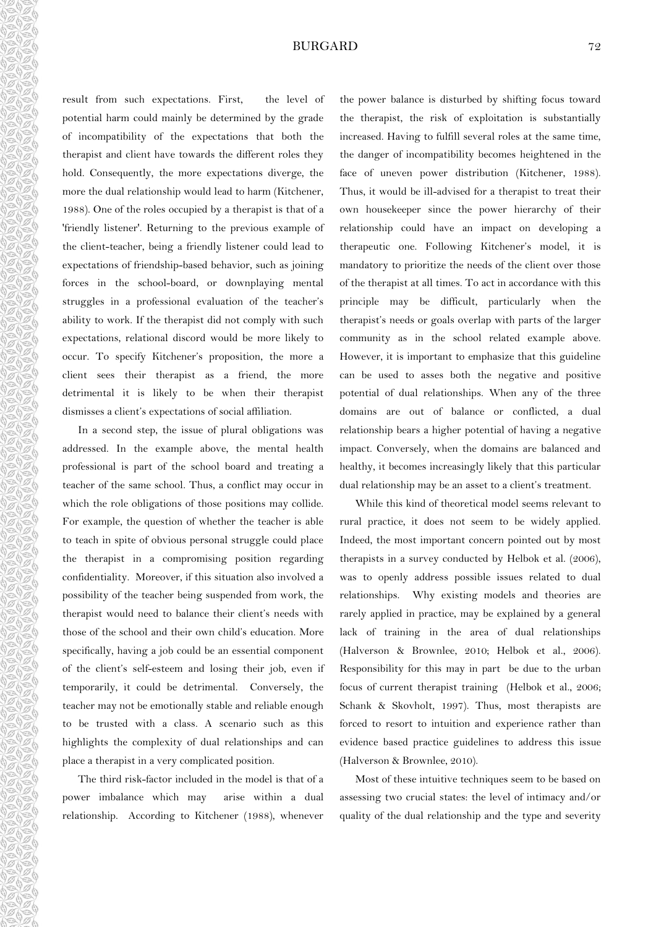#### BURGARD 72

na na na n ARASARAS  $\frac{1}{2}$  $\begin{array}{l} \hline \emptyset \otimes \emptyset \otimes \emptyset \otimes \emptyset \otimes \emptyset \otimes \emptyset \otimes \emptyset \otimes \emptyset \end{array}$  $\theta$  as  $\theta$  as  $\theta$  as  $\theta$  as  $\theta$  as  $\theta$  as  $\theta$  as  $\theta$ As As As As ARAS

result from such expectations. First, the level of potential harm could mainly be determined by the grade of incompatibility of the expectations that both the therapist and client have towards the different roles they hold. Consequently, the more expectations diverge, the more the dual relationship would lead to harm (Kitchener, 1988). One of the roles occupied by a therapist is that of a 'friendly listener'. Returning to the previous example of the client-teacher, being a friendly listener could lead to expectations of friendship-based behavior, such as joining forces in the school-board, or downplaying mental struggles in a professional evaluation of the teacher's ability to work. If the therapist did not comply with such expectations, relational discord would be more likely to occur. To specify Kitchener's proposition, the more a client sees their therapist as a friend, the more detrimental it is likely to be when their therapist dismisses a client's expectations of social affiliation.

In a second step, the issue of plural obligations was addressed. In the example above, the mental health professional is part of the school board and treating a teacher of the same school. Thus, a conflict may occur in which the role obligations of those positions may collide. For example, the question of whether the teacher is able to teach in spite of obvious personal struggle could place the therapist in a compromising position regarding confidentiality. Moreover, if this situation also involved a possibility of the teacher being suspended from work, the therapist would need to balance their client's needs with those of the school and their own child's education. More specifically, having a job could be an essential component of the client's self-esteem and losing their job, even if temporarily, it could be detrimental. Conversely, the teacher may not be emotionally stable and reliable enough to be trusted with a class. A scenario such as this highlights the complexity of dual relationships and can place a therapist in a very complicated position.

The third risk-factor included in the model is that of a power imbalance which may arise within a dual relationship. According to Kitchener (1988), whenever the power balance is disturbed by shifting focus toward the therapist, the risk of exploitation is substantially increased. Having to fulfill several roles at the same time, the danger of incompatibility becomes heightened in the face of uneven power distribution (Kitchener, 1988). Thus, it would be ill-advised for a therapist to treat their own housekeeper since the power hierarchy of their relationship could have an impact on developing a therapeutic one. Following Kitchener's model, it is mandatory to prioritize the needs of the client over those of the therapist at all times. To act in accordance with this principle may be difficult, particularly when the therapist's needs or goals overlap with parts of the larger community as in the school related example above. However, it is important to emphasize that this guideline can be used to asses both the negative and positive potential of dual relationships. When any of the three domains are out of balance or conflicted, a dual relationship bears a higher potential of having a negative impact. Conversely, when the domains are balanced and healthy, it becomes increasingly likely that this particular dual relationship may be an asset to a client's treatment.

While this kind of theoretical model seems relevant to rural practice, it does not seem to be widely applied. Indeed, the most important concern pointed out by most therapists in a survey conducted by Helbok et al. (2006), was to openly address possible issues related to dual relationships. Why existing models and theories are rarely applied in practice, may be explained by a general lack of training in the area of dual relationships (Halverson & Brownlee, 2010; Helbok et al., 2006). Responsibility for this may in part be due to the urban focus of current therapist training (Helbok et al., 2006; Schank & Skovholt, 1997). Thus, most therapists are forced to resort to intuition and experience rather than evidence based practice guidelines to address this issue (Halverson & Brownlee, 2010).

Most of these intuitive techniques seem to be based on assessing two crucial states: the level of intimacy and/or quality of the dual relationship and the type and severity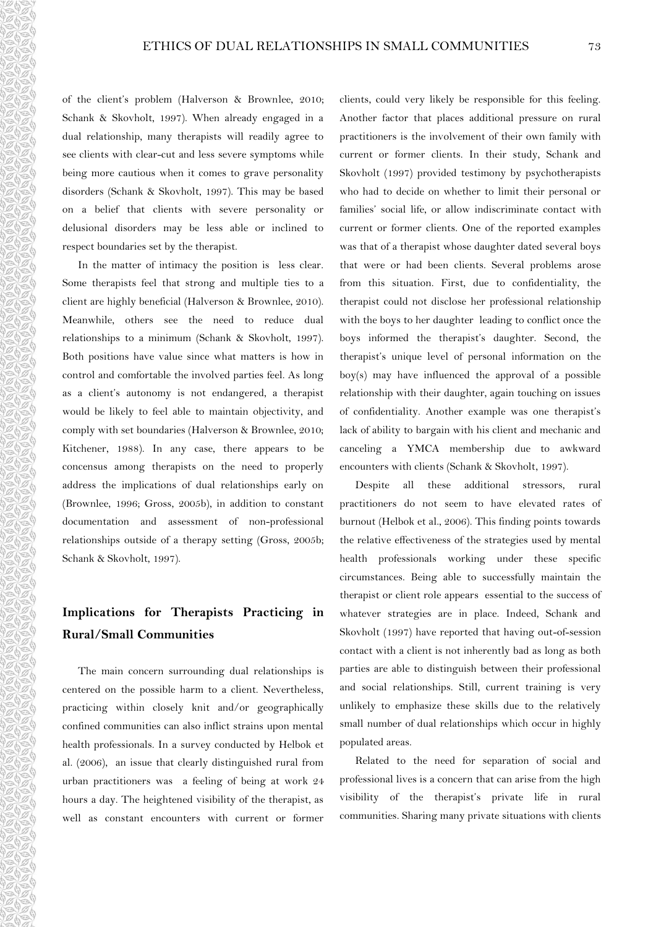of the client's problem (Halverson & Brownlee, 2010; Schank & Skovholt, 1997). When already engaged in a dual relationship, many therapists will readily agree to see clients with clear-cut and less severe symptoms while being more cautious when it comes to grave personality disorders (Schank & Skovholt, 1997). This may be based on a belief that clients with severe personality or delusional disorders may be less able or inclined to respect boundaries set by the therapist.

In the matter of intimacy the position is less clear. Some therapists feel that strong and multiple ties to a client are highly beneficial (Halverson & Brownlee, 2010). Meanwhile, others see the need to reduce dual relationships to a minimum (Schank & Skovholt, 1997). Both positions have value since what matters is how in control and comfortable the involved parties feel. As long as a client's autonomy is not endangered, a therapist would be likely to feel able to maintain objectivity, and comply with set boundaries (Halverson & Brownlee, 2010; Kitchener, 1988). In any case, there appears to be concensus among therapists on the need to properly address the implications of dual relationships early on (Brownlee, 1996; Gross, 2005b), in addition to constant documentation and assessment of non-professional relationships outside of a therapy setting (Gross, 2005b; Schank & Skovholt, 1997).

a de de de de de d

## **Implications for Therapists Practicing in Rural/Small Communities**

The main concern surrounding dual relationships is centered on the possible harm to a client. Nevertheless, practicing within closely knit and/or geographically confined communities can also inflict strains upon mental health professionals. In a survey conducted by Helbok et al. (2006), an issue that clearly distinguished rural from urban practitioners was a feeling of being at work 24 hours a day. The heightened visibility of the therapist, as well as constant encounters with current or former clients, could very likely be responsible for this feeling. Another factor that places additional pressure on rural practitioners is the involvement of their own family with current or former clients. In their study, Schank and Skovholt (1997) provided testimony by psychotherapists who had to decide on whether to limit their personal or families' social life, or allow indiscriminate contact with current or former clients. One of the reported examples was that of a therapist whose daughter dated several boys that were or had been clients. Several problems arose from this situation. First, due to confidentiality, the therapist could not disclose her professional relationship with the boys to her daughter leading to conflict once the boys informed the therapist's daughter. Second, the therapist's unique level of personal information on the boy(s) may have influenced the approval of a possible relationship with their daughter, again touching on issues of confidentiality. Another example was one therapist's lack of ability to bargain with his client and mechanic and canceling a YMCA membership due to awkward encounters with clients (Schank & Skovholt, 1997).

Despite all these additional stressors, rural practitioners do not seem to have elevated rates of burnout (Helbok et al., 2006). This finding points towards the relative effectiveness of the strategies used by mental health professionals working under these specific circumstances. Being able to successfully maintain the therapist or client role appears essential to the success of whatever strategies are in place. Indeed, Schank and Skovholt (1997) have reported that having out-of-session contact with a client is not inherently bad as long as both parties are able to distinguish between their professional and social relationships. Still, current training is very unlikely to emphasize these skills due to the relatively small number of dual relationships which occur in highly populated areas.

Related to the need for separation of social and professional lives is a concern that can arise from the high visibility of the therapist's private life in rural communities. Sharing many private situations with clients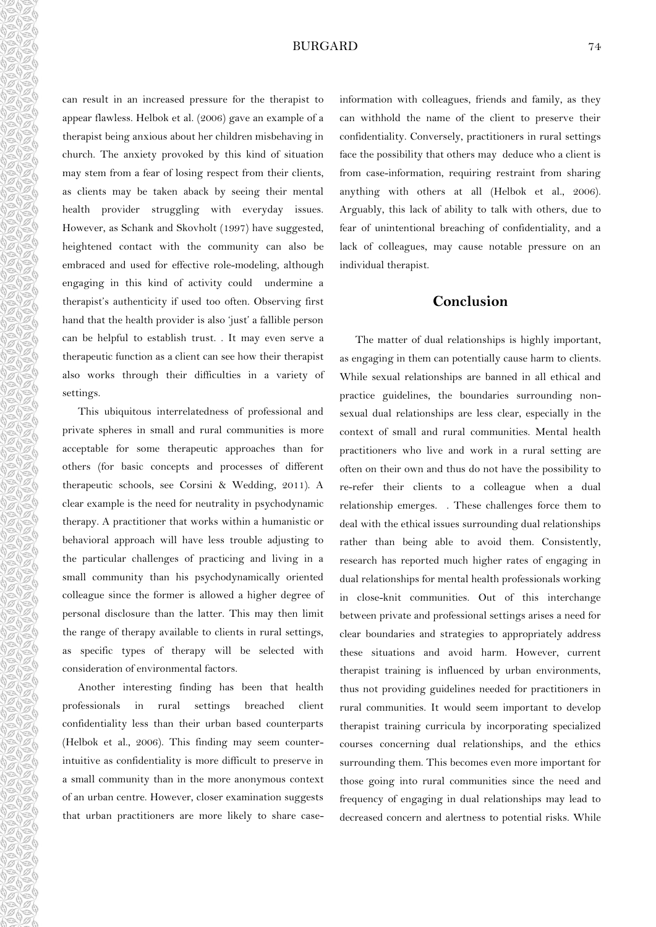can result in an increased pressure for the therapist to appear flawless. Helbok et al. (2006) gave an example of a therapist being anxious about her children misbehaving in church. The anxiety provoked by this kind of situation may stem from a fear of losing respect from their clients, as clients may be taken aback by seeing their mental health provider struggling with everyday issues. However, as Schank and Skovholt (1997) have suggested, heightened contact with the community can also be embraced and used for effective role-modeling, although engaging in this kind of activity could undermine a therapist's authenticity if used too often. Observing first hand that the health provider is also 'just' a fallible person can be helpful to establish trust. . It may even serve a therapeutic function as a client can see how their therapist also works through their difficulties in a variety of settings.

0000000000000000000000

This ubiquitous interrelatedness of professional and private spheres in small and rural communities is more acceptable for some therapeutic approaches than for others (for basic concepts and processes of different therapeutic schools, see Corsini & Wedding, 2011). A clear example is the need for neutrality in psychodynamic therapy. A practitioner that works within a humanistic or behavioral approach will have less trouble adjusting to the particular challenges of practicing and living in a small community than his psychodynamically oriented colleague since the former is allowed a higher degree of personal disclosure than the latter. This may then limit the range of therapy available to clients in rural settings, as specific types of therapy will be selected with consideration of environmental factors.

Another interesting finding has been that health professionals in rural settings breached client confidentiality less than their urban based counterparts (Helbok et al., 2006). This finding may seem counterintuitive as confidentiality is more difficult to preserve in a small community than in the more anonymous context of an urban centre. However, closer examination suggests that urban practitioners are more likely to share caseinformation with colleagues, friends and family, as they can withhold the name of the client to preserve their confidentiality. Conversely, practitioners in rural settings face the possibility that others may deduce who a client is from case-information, requiring restraint from sharing anything with others at all (Helbok et al., 2006). Arguably, this lack of ability to talk with others, due to fear of unintentional breaching of confidentiality, and a lack of colleagues, may cause notable pressure on an individual therapist.

## **Conclusion**

The matter of dual relationships is highly important, as engaging in them can potentially cause harm to clients. While sexual relationships are banned in all ethical and practice guidelines, the boundaries surrounding nonsexual dual relationships are less clear, especially in the context of small and rural communities. Mental health practitioners who live and work in a rural setting are often on their own and thus do not have the possibility to re-refer their clients to a colleague when a dual relationship emerges. . These challenges force them to deal with the ethical issues surrounding dual relationships rather than being able to avoid them. Consistently, research has reported much higher rates of engaging in dual relationships for mental health professionals working in close-knit communities. Out of this interchange between private and professional settings arises a need for clear boundaries and strategies to appropriately address these situations and avoid harm. However, current therapist training is influenced by urban environments, thus not providing guidelines needed for practitioners in rural communities. It would seem important to develop therapist training curricula by incorporating specialized courses concerning dual relationships, and the ethics surrounding them. This becomes even more important for those going into rural communities since the need and frequency of engaging in dual relationships may lead to decreased concern and alertness to potential risks. While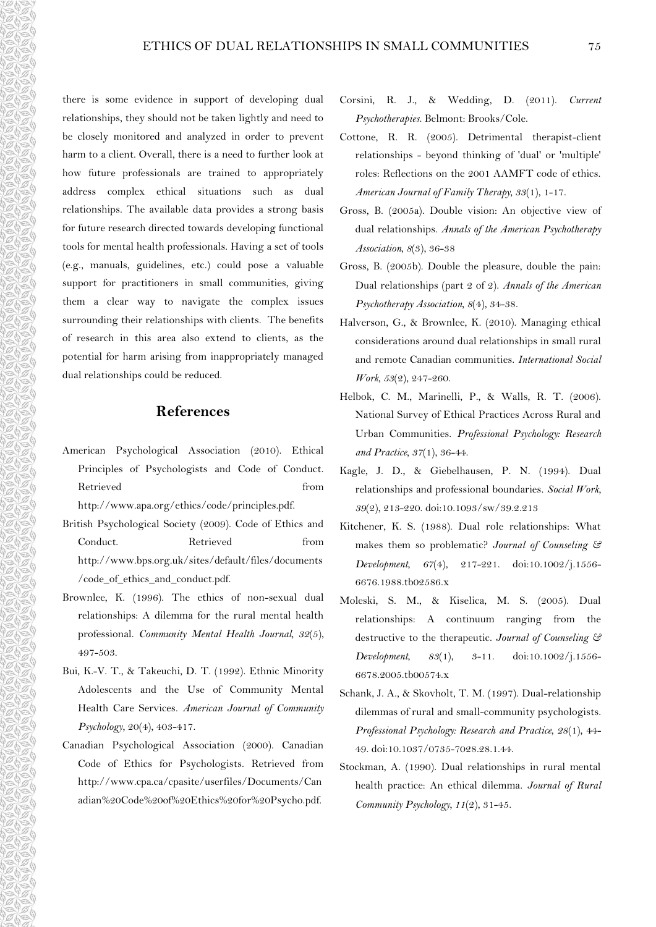there is some evidence in support of developing dual relationships, they should not be taken lightly and need to be closely monitored and analyzed in order to prevent harm to a client. Overall, there is a need to further look at how future professionals are trained to appropriately address complex ethical situations such as dual relationships. The available data provides a strong basis for future research directed towards developing functional tools for mental health professionals. Having a set of tools (e.g., manuals, guidelines, etc.) could pose a valuable support for practitioners in small communities, giving them a clear way to navigate the complex issues surrounding their relationships with clients. The benefits of research in this area also extend to clients, as the potential for harm arising from inappropriately managed dual relationships could be reduced.

## **References**

- American Psychological Association (2010). Ethical Principles of Psychologists and Code of Conduct. Retrieved from http://www.apa.org/ethics/code/principles.pdf.
	-
- British Psychological Society (2009). Code of Ethics and Conduct. Retrieved from http://www.bps.org.uk/sites/default/files/documents /code\_of\_ethics\_and\_conduct.pdf.
- Brownlee, K. (1996). The ethics of non-sexual dual relationships: A dilemma for the rural mental health professional. *Community Mental Health Journal, 32*(5), 497-503.
- Bui, K.-V. T., & Takeuchi, D. T. (1992). Ethnic Minority Adolescents and the Use of Community Mental Health Care Services. *American Journal of Community Psychology*, 20(4), 403-417.
- Canadian Psychological Association (2000). Canadian Code of Ethics for Psychologists. Retrieved from http://www.cpa.ca/cpasite/userfiles/Documents/Can adian%20Code%20of%20Ethics%20for%20Psycho.pdf.
- Corsini, R. J., & Wedding, D. (2011). *Current Psychotherapies*. Belmont: Brooks/Cole.
- Cottone, R. R. (2005). Detrimental therapist-client relationships - beyond thinking of 'dual' or 'multiple' roles: Reflections on the 2001 AAMFT code of ethics. *American Journal of Family Therapy, 33*(1), 1-17.
- Gross, B. (2005a). Double vision: An objective view of dual relationships. *Annals of the American Psychotherapy Association, 8*(3), 36-38
- Gross, B. (2005b). Double the pleasure, double the pain: Dual relationships (part 2 of 2). *Annals of the American Psychotherapy Association, 8*(4), 34-38.
- Halverson, G., & Brownlee, K. (2010). Managing ethical considerations around dual relationships in small rural and remote Canadian communities. *International Social Work, 53*(2), 247-260.
- Helbok, C. M., Marinelli, P., & Walls, R. T. (2006). National Survey of Ethical Practices Across Rural and Urban Communities. *Professional Psychology: Research and Practice, 37*(1), 36-44.
- Kagle, J. D., & Giebelhausen, P. N. (1994). Dual relationships and professional boundaries. *Social Work, 39*(2), 213-220. doi:10.1093/sw/39.2.213
- Kitchener, K. S. (1988). Dual role relationships: What makes them so problematic? *Journal of Counseling & Development, 67*(4), 217-221. doi:10.1002/j.1556- 6676.1988.tb02586.x
- Moleski, S. M., & Kiselica, M. S. (2005). Dual relationships: A continuum ranging from the destructive to the therapeutic. *Journal of Counseling & Development, 83*(1), 3-11. doi:10.1002/j.1556- 6678.2005.tb00574.x
- Schank, J. A., & Skovholt, T. M. (1997). Dual-relationship dilemmas of rural and small-community psychologists. *Professional Psychology: Research and Practice, 28*(1), 44- 49. doi:10.1037/0735-7028.28.1.44.
- Stockman, A. (1990). Dual relationships in rural mental health practice: An ethical dilemma. *Journal of Rural Community Psychology, 11*(2), 31-45.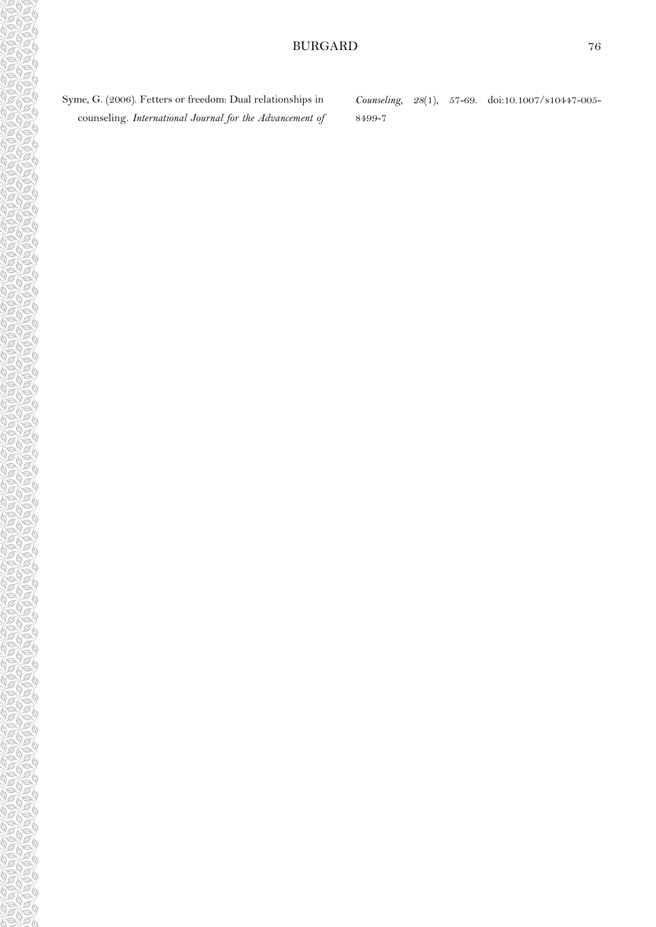*Counseling, 28*(1), 57-69. doi:10.1007/s10447-005- 8499-7